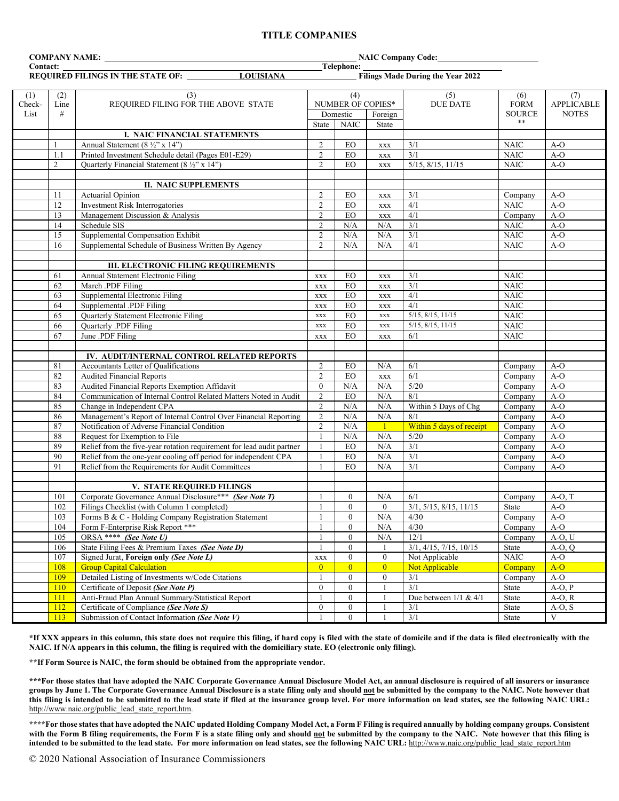### **TITLE COMPANIES**

| COMPANY NAME: |                |                                                                                     | <b>NAIC Company Code:</b>                              |                   |                     |                           |                  |                   |
|---------------|----------------|-------------------------------------------------------------------------------------|--------------------------------------------------------|-------------------|---------------------|---------------------------|------------------|-------------------|
| Contact:      |                |                                                                                     | Telephone:<br><b>Filings Made During the Year 2022</b> |                   |                     |                           |                  |                   |
|               |                | <b>LOUISIANA</b><br><b>REQUIRED FILINGS IN THE STATE OF:</b>                        |                                                        |                   |                     |                           |                  |                   |
| (1)           | (2)            | (3)                                                                                 |                                                        | (4)               |                     | (5)                       | (6)              | (7)               |
| Check-        | Line           | REQUIRED FILING FOR THE ABOVE STATE                                                 |                                                        | NUMBER OF COPIES* |                     | <b>DUE DATE</b>           | <b>FORM</b>      | <b>APPLICABLE</b> |
| List          | #              |                                                                                     |                                                        | Domestic          | Foreign             |                           | <b>SOURCE</b>    | <b>NOTES</b>      |
|               |                |                                                                                     | <b>State</b>                                           | <b>NAIC</b>       | State               |                           | $***$            |                   |
|               |                | I. NAIC FINANCIAL STATEMENTS                                                        |                                                        |                   |                     |                           |                  |                   |
|               |                | Annual Statement (8 1/2" x 14")                                                     | 2                                                      | EO                | <b>XXX</b>          | 3/1                       | <b>NAIC</b>      | $A-O$             |
|               | 1.1            | Printed Investment Schedule detail (Pages E01-E29)                                  | $\overline{2}$                                         | $E_{\rm O}$       | $\mathbf{XXX}$      | 3/1                       | $\rm NAIC$       | $A-O$             |
|               | $\overline{2}$ | Quarterly Financial Statement (8 1/2" x 14")                                        | 2                                                      | EO                | <b>XXX</b>          | $5/15$ , $8/15$ , $11/15$ | <b>NAIC</b>      | $A-O$             |
|               |                |                                                                                     |                                                        |                   |                     |                           |                  |                   |
|               |                | <b>II. NAIC SUPPLEMENTS</b>                                                         |                                                        |                   |                     |                           |                  |                   |
|               | 11             | Actuarial Opinion                                                                   | $\overline{2}$                                         | EO                | <b>XXX</b>          | 3/1                       | Company          | $A-O$             |
|               | 12             | <b>Investment Risk Interrogatories</b>                                              | $\overline{c}$                                         | EO                | $\mathbf{XXX}$      | 4/1                       | <b>NAIC</b>      | $A-O$             |
|               | 13             | Management Discussion & Analysis                                                    | $\overline{2}$                                         | EO                | <b>XXX</b>          | 4/1                       | Company          | $A-O$             |
|               | 14             | Schedule SIS                                                                        | $\overline{2}$                                         | N/A               | N/A                 | 3/1                       | <b>NAIC</b>      | $A-O$             |
|               | 15             | Supplemental Compensation Exhibit                                                   | $\overline{c}$                                         | N/A               | N/A                 | 3/1                       | <b>NAIC</b>      | $A-O$             |
|               | 16             | Supplemental Schedule of Business Written By Agency                                 | $\overline{2}$                                         | N/A               | N/A                 | 4/1                       | $\rm NAIC$       | $A-O$             |
|               |                |                                                                                     |                                                        |                   |                     |                           |                  |                   |
|               |                | <b>III. ELECTRONIC FILING REQUIREMENTS</b>                                          |                                                        |                   |                     |                           |                  |                   |
|               | 61             | Annual Statement Electronic Filing                                                  | $\mathbf{XXX}$                                         | EO                | <b>XXX</b>          | 3/1                       | <b>NAIC</b>      |                   |
|               | 62             | March .PDF Filing                                                                   | $\mathbf{XXX}$                                         | EO                | <b>XXX</b>          | 3/1                       | <b>NAIC</b>      |                   |
|               | 63             | Supplemental Electronic Filing                                                      | $\mathbf{XXX}$                                         | EO                | $\mathbf{XXX}$      | 4/1                       | <b>NAIC</b>      |                   |
|               | 64             | Supplemental .PDF Filing                                                            | $\mathbf{XXX}$                                         | EO                | <b>XXX</b>          | 4/1                       | <b>NAIC</b>      |                   |
|               | 65             | Quarterly Statement Electronic Filing                                               | <b>XXX</b>                                             | EO                | <b>XXX</b>          | 5/15, 8/15, 11/15         | <b>NAIC</b>      |                   |
|               | 66             | Quarterly .PDF Filing                                                               | $\mathbf{XXX}$                                         | EO                | XXX                 | 5/15, 8/15, 11/15         | <b>NAIC</b>      |                   |
|               | 67             | June .PDF Filing                                                                    | $\mathbf{XXX}$                                         | EO                | $\mathbf{XXX}$      | 6/1                       | <b>NAIC</b>      |                   |
|               |                |                                                                                     |                                                        |                   |                     |                           |                  |                   |
|               |                | IV. AUDIT/INTERNAL CONTROL RELATED REPORTS                                          |                                                        |                   |                     |                           |                  |                   |
|               | 81             | Accountants Letter of Qualifications                                                | $\overline{2}$                                         | EO                | N/A                 | 6/1                       | Company          | $A-O$             |
|               | 82             | <b>Audited Financial Reports</b>                                                    | $\overline{2}$                                         | EO                | <b>XXX</b>          | 6/1                       | Company          | $A-O$             |
|               | 83             | Audited Financial Reports Exemption Affidavit                                       | $\mathbf{0}$                                           | N/A               | N/A                 | 5/20                      | Company          | $A-O$             |
|               | 84             | Communication of Internal Control Related Matters Noted in Audit                    | $\overline{2}$                                         | EO                | N/A                 | 8/1                       | Company          | $A-O$             |
|               | 85             | Change in Independent CPA                                                           | $\overline{c}$                                         | $\rm N/A$         | N/A                 | Within 5 Days of Chg      | Company          | $A-O$             |
|               | 86             | Management's Report of Internal Control Over Financial Reporting                    | $\overline{c}$                                         | N/A               | N/A                 | 8/1                       | Company          | $A-O$             |
|               | 87             | Notification of Adverse Financial Condition                                         | $\overline{2}$                                         | N/A               | $\mathbf{1}$        | Within 5 days of receipt  | Company          | $A-O$             |
|               | 88             | Request for Exemption to File                                                       | $\mathbf{1}$                                           | N/A               | N/A                 | 5/20                      | Company          | $A-O$             |
|               | 89             | Relief from the five-year rotation requirement for lead audit partner               |                                                        | $E_{\rm O}$       | N/A                 | 3/1                       | Company          | $A-O$             |
|               | 90             | Relief from the one-year cooling off period for independent CPA                     | 1                                                      | EO                | N/A<br>N/A          | 3/1<br>3/1                | Company          | $A-O$             |
|               | 91             | Relief from the Requirements for Audit Committees                                   | $\mathbf{1}$                                           | EO                |                     |                           | Company          | $A-O$             |
|               |                |                                                                                     |                                                        |                   |                     |                           |                  |                   |
|               | 101            | V. STATE REQUIRED FILINGS<br>Corporate Governance Annual Disclosure*** (See Note T) |                                                        | $\theta$          | N/A                 | 6/1                       | Company          | $A-O, T$          |
|               | 102            | Filings Checklist (with Column 1 completed)                                         |                                                        | $\boldsymbol{0}$  |                     | 3/1, 5/15, 8/15, 11/15    |                  |                   |
|               | 103            | Forms B & C - Holding Company Registration Statement                                | 1<br>$\mathbf{1}$                                      | $\boldsymbol{0}$  | $\mathbf{0}$<br>N/A | 4/30                      | State<br>Company | A-O<br>$A-O$      |
|               | 104            | Form F-Enterprise Risk Report ***                                                   |                                                        | $\boldsymbol{0}$  | N/A                 | 4/30                      | Company          | $A-O$             |
|               | 105            | ORSA **** (See Note U)                                                              |                                                        | $\boldsymbol{0}$  | N/A                 | 12/1                      | Company          | $A-O, U$          |
|               | 106            | State Filing Fees & Premium Taxes (See Note D)                                      | $\mathbf{1}$                                           | $\mathbf{0}$      |                     | 3/1, 4/15, 7/15, 10/15    | <b>State</b>     | $A-O, Q$          |
|               | 107            | Signed Jurat, Foreign only (See Note L)                                             | $\mathbf{XXX}$                                         | $\mathbf{0}$      | $\overline{0}$      | Not Applicable            | $\rm NAIC$       | $A-O$             |
|               | 108            | <b>Group Capital Calculation</b>                                                    | $\overline{0}$                                         | $\overline{0}$    | $\overline{0}$      | Not Applicable            | Company          | $A-O$             |
|               | 109            | Detailed Listing of Investments w/Code Citations                                    | 1                                                      | $\mathbf{0}$      | $\overline{0}$      | 3/1                       | Company          | $A-O$             |
|               | <b>110</b>     | Certificate of Deposit (See Note P)                                                 | $\mathbf{0}$                                           | $\mathbf{0}$      |                     | 3/1                       | State            | $A-O, P$          |
|               | <sup>111</sup> | Anti-Fraud Plan Annual Summary/Statistical Report                                   |                                                        | $\boldsymbol{0}$  |                     | Due between $1/1$ & $4/1$ | State            | $A-O, R$          |
|               | 112            | Certificate of Compliance (See Note S)                                              | $\boldsymbol{0}$                                       | $\boldsymbol{0}$  |                     | 3/1                       | State            | $A-O, S$          |
|               | 113            | Submission of Contact Information (See Note V)                                      |                                                        | $\mathbf{0}$      |                     | 3/1                       | State            | V                 |
|               |                |                                                                                     |                                                        |                   |                     |                           |                  |                   |

**\*If XXX appears in this column, this state does not require this filing, if hard copy is filed with the state of domicile and if the data is filed electronically with the NAIC. If N/A appears in this column, the filing is required with the domiciliary state. EO (electronic only filing).**

**\*\*If Form Source is NAIC, the form should be obtained from the appropriate vendor.** 

**\*\*\*For those states that have adopted the NAIC Corporate Governance Annual Disclosure Model Act, an annual disclosure is required of all insurers or insurance groups by June 1. The Corporate Governance Annual Disclosure is a state filing only and should not be submitted by the company to the NAIC. Note however that this filing is intended to be submitted to the lead state if filed at the insurance group level. For more information on lead states, see the following NAIC URL:**  [http://www.naic.org/public\\_lead\\_state\\_report.htm.](http://www.naic.org/public_lead_state_report.htm)

**\*\*\*\*For those states that have adopted the NAIC updated Holding Company Model Act, a Form F Filing is required annually by holding company groups. Consistent**  with the Form B filing requirements, the Form F is a state filing only and should not be submitted by the company to the NAIC. Note however that this filing is **intended to be submitted to the lead state. For more information on lead states, see the following NAIC URL:** [http://www.naic.org/public\\_lead\\_state\\_report.htm](http://www.naic.org/public_lead_state_report.htm)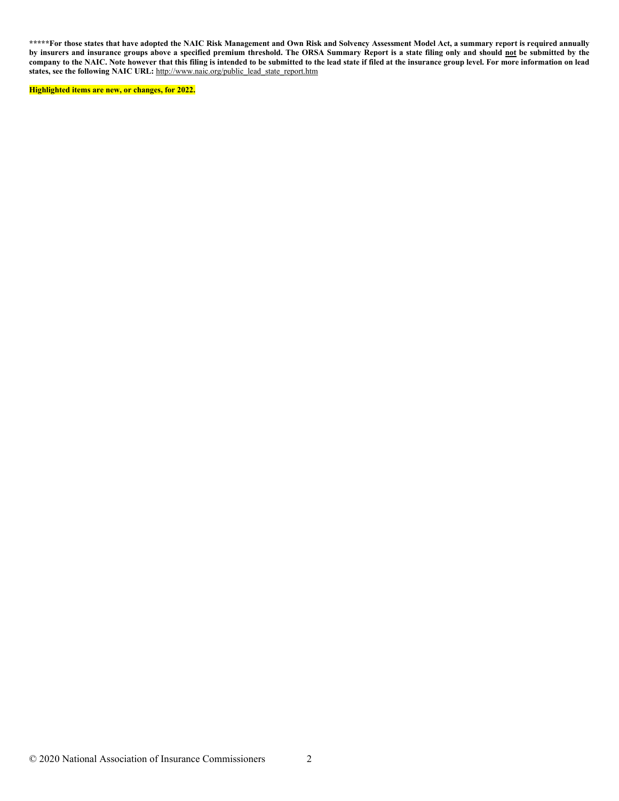**\*\*\*\*\*For those states that have adopted the NAIC Risk Management and Own Risk and Solvency Assessment Model Act, a summary report is required annually by insurers and insurance groups above a specified premium threshold. The ORSA Summary Report is a state filing only and should not be submitted by the company to the NAIC. Note however that this filing is intended to be submitted to the lead state if filed at the insurance group level. For more information on lead states, see the following NAIC URL:** [http://www.naic.org/public\\_lead\\_state\\_report.htm](http://www.naic.org/public_lead_state_report.htm)

**Highlighted items are new, or changes, for 2022.**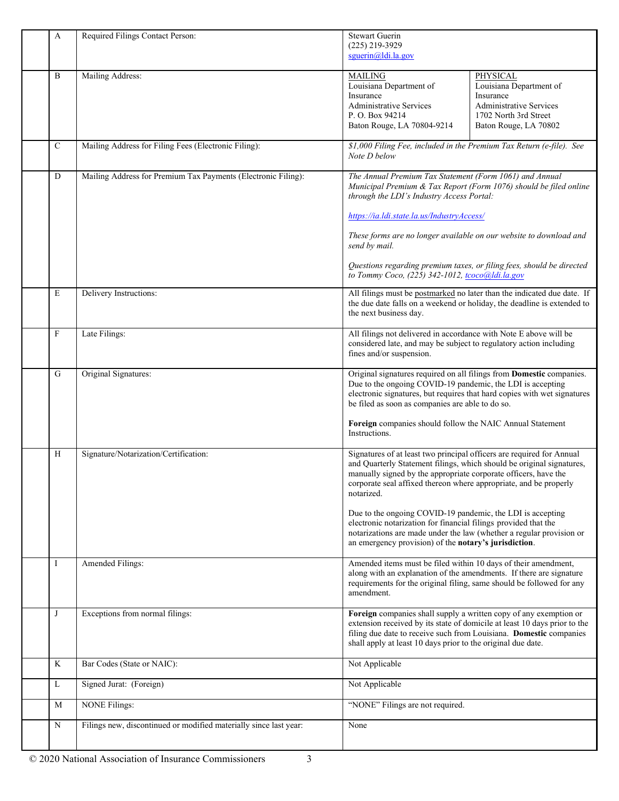| A            | Required Filings Contact Person:                                  | <b>Stewart Guerin</b><br>(225) 219-3929<br>squerin@ldi.la.gov                                                                                                                                                                                                                                        |                                                                                                                                                    |
|--------------|-------------------------------------------------------------------|------------------------------------------------------------------------------------------------------------------------------------------------------------------------------------------------------------------------------------------------------------------------------------------------------|----------------------------------------------------------------------------------------------------------------------------------------------------|
| B            | Mailing Address:                                                  | <b>MAILING</b><br>Louisiana Department of<br>Insurance<br><b>Administrative Services</b><br>P. O. Box 94214<br>Baton Rouge, LA 70804-9214                                                                                                                                                            | PHYSICAL<br>Louisiana Department of<br>Insurance<br><b>Administrative Services</b><br>1702 North 3rd Street<br>Baton Rouge, LA 70802               |
| $\mathsf{C}$ | Mailing Address for Filing Fees (Electronic Filing):              | \$1,000 Filing Fee, included in the Premium Tax Return (e-file). See<br>Note D below                                                                                                                                                                                                                 |                                                                                                                                                    |
| D            | Mailing Address for Premium Tax Payments (Electronic Filing):     | The Annual Premium Tax Statement (Form 1061) and Annual<br>Municipal Premium & Tax Report (Form 1076) should be filed online<br>through the LDI's Industry Access Portal:<br>https://ia.ldi.state.la.us/IndustryAccess/                                                                              |                                                                                                                                                    |
|              |                                                                   | These forms are no longer available on our website to download and<br>send by mail.                                                                                                                                                                                                                  |                                                                                                                                                    |
|              |                                                                   | Questions regarding premium taxes, or filing fees, should be directed<br>to Tommy Coco, (225) 342-1012, tcoco@ldi.la.gov                                                                                                                                                                             |                                                                                                                                                    |
| E            | Delivery Instructions:                                            | the next business day.                                                                                                                                                                                                                                                                               | All filings must be postmarked no later than the indicated due date. If<br>the due date falls on a weekend or holiday, the deadline is extended to |
| F            | Late Filings:                                                     | All filings not delivered in accordance with Note E above will be<br>considered late, and may be subject to regulatory action including<br>fines and/or suspension.                                                                                                                                  |                                                                                                                                                    |
| G            | Original Signatures:                                              | Original signatures required on all filings from Domestic companies.<br>Due to the ongoing COVID-19 pandemic, the LDI is accepting<br>be filed as soon as companies are able to do so.<br>Foreign companies should follow the NAIC Annual Statement                                                  | electronic signatures, but requires that hard copies with wet signatures                                                                           |
|              |                                                                   | Instructions.                                                                                                                                                                                                                                                                                        |                                                                                                                                                    |
| H            | Signature/Notarization/Certification:                             | Signatures of at least two principal officers are required for Annual<br>and Quarterly Statement filings, which should be original signatures,<br>manually signed by the appropriate corporate officers, have the<br>corporate seal affixed thereon where appropriate, and be properly<br>notarized. |                                                                                                                                                    |
|              |                                                                   | Due to the ongoing COVID-19 pandemic, the LDI is accepting<br>electronic notarization for financial filings provided that the<br>notarizations are made under the law (whether a regular provision or<br>an emergency provision) of the notary's jurisdiction.                                       |                                                                                                                                                    |
| $\bf{I}$     | Amended Filings:                                                  | Amended items must be filed within 10 days of their amendment,<br>along with an explanation of the amendments. If there are signature<br>requirements for the original filing, same should be followed for any<br>amendment.                                                                         |                                                                                                                                                    |
| J            | Exceptions from normal filings:                                   | Foreign companies shall supply a written copy of any exemption or<br>filing due date to receive such from Louisiana. Domestic companies<br>shall apply at least 10 days prior to the original due date.                                                                                              | extension received by its state of domicile at least 10 days prior to the                                                                          |
| K            | Bar Codes (State or NAIC):                                        | Not Applicable                                                                                                                                                                                                                                                                                       |                                                                                                                                                    |
| L            | Signed Jurat: (Foreign)                                           | Not Applicable                                                                                                                                                                                                                                                                                       |                                                                                                                                                    |
| M            | <b>NONE Filings:</b>                                              | "NONE" Filings are not required.                                                                                                                                                                                                                                                                     |                                                                                                                                                    |
| ${\bf N}$    | Filings new, discontinued or modified materially since last year: | None                                                                                                                                                                                                                                                                                                 |                                                                                                                                                    |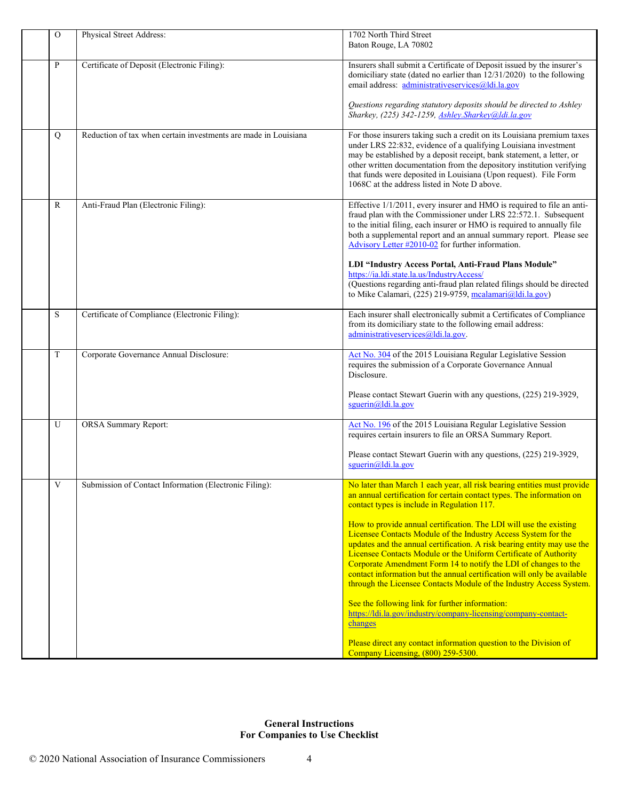| $\overline{O}$ | Physical Street Address:                                        | 1702 North Third Street<br>Baton Rouge, LA 70802                                                                                                                                                                                                                                                                                                                                                                                                                                                                                   |
|----------------|-----------------------------------------------------------------|------------------------------------------------------------------------------------------------------------------------------------------------------------------------------------------------------------------------------------------------------------------------------------------------------------------------------------------------------------------------------------------------------------------------------------------------------------------------------------------------------------------------------------|
| P              | Certificate of Deposit (Electronic Filing):                     | Insurers shall submit a Certificate of Deposit issued by the insurer's<br>domiciliary state (dated no earlier than 12/31/2020) to the following<br>email address: administrativeservices@ldi.la.gov                                                                                                                                                                                                                                                                                                                                |
|                |                                                                 | Questions regarding statutory deposits should be directed to Ashley<br>Sharkey, (225) 342-1259, Ashley. Sharkey@ldi.la.gov                                                                                                                                                                                                                                                                                                                                                                                                         |
| Q              | Reduction of tax when certain investments are made in Louisiana | For those insurers taking such a credit on its Louisiana premium taxes<br>under LRS 22:832, evidence of a qualifying Louisiana investment<br>may be established by a deposit receipt, bank statement, a letter, or<br>other written documentation from the depository institution verifying<br>that funds were deposited in Louisiana (Upon request). File Form<br>1068C at the address listed in Note D above.                                                                                                                    |
| $\mathbb{R}$   | Anti-Fraud Plan (Electronic Filing):                            | Effective 1/1/2011, every insurer and HMO is required to file an anti-<br>fraud plan with the Commissioner under LRS 22:572.1. Subsequent<br>to the initial filing, each insurer or HMO is required to annually file<br>both a supplemental report and an annual summary report. Please see<br>Advisory Letter #2010-02 for further information.<br>LDI "Industry Access Portal, Anti-Fraud Plans Module"<br>https://ia.ldi.state.la.us/IndustryAccess/<br>(Questions regarding anti-fraud plan related filings should be directed |
|                |                                                                 | to Mike Calamari, (225) 219-9759, mcalamari@ldi.la.gov)                                                                                                                                                                                                                                                                                                                                                                                                                                                                            |
| S              | Certificate of Compliance (Electronic Filing):                  | Each insurer shall electronically submit a Certificates of Compliance<br>from its domiciliary state to the following email address:<br>administrativeservices@ldi.la.gov.                                                                                                                                                                                                                                                                                                                                                          |
| T              | Corporate Governance Annual Disclosure:                         | Act No. 304 of the 2015 Louisiana Regular Legislative Session<br>requires the submission of a Corporate Governance Annual<br>Disclosure.                                                                                                                                                                                                                                                                                                                                                                                           |
|                |                                                                 | Please contact Stewart Guerin with any questions, (225) 219-3929,<br>sguerin@ldi.la.gov                                                                                                                                                                                                                                                                                                                                                                                                                                            |
| U              | <b>ORSA Summary Report:</b>                                     | Act No. 196 of the 2015 Louisiana Regular Legislative Session<br>requires certain insurers to file an ORSA Summary Report.                                                                                                                                                                                                                                                                                                                                                                                                         |
|                |                                                                 | Please contact Stewart Guerin with any questions, (225) 219-3929,<br>sguerin@ldi.la.gov                                                                                                                                                                                                                                                                                                                                                                                                                                            |
| V              | Submission of Contact Information (Electronic Filing):          | No later than March 1 each year, all risk bearing entities must provide<br>an annual certification for certain contact types. The information on<br>contact types is include in Regulation 117.                                                                                                                                                                                                                                                                                                                                    |
|                |                                                                 | How to provide annual certification. The LDI will use the existing<br>Licensee Contacts Module of the Industry Access System for the<br>updates and the annual certification. A risk bearing entity may use the<br>Licensee Contacts Module or the Uniform Certificate of Authority<br>Corporate Amendment Form 14 to notify the LDI of changes to the<br>contact information but the annual certification will only be available<br>through the Licensee Contacts Module of the Industry Access System.                           |
|                |                                                                 | See the following link for further information:<br>https://ldi.la.gov/industry/company-licensing/company-contact-<br>changes                                                                                                                                                                                                                                                                                                                                                                                                       |
|                |                                                                 | Please direct any contact information question to the Division of<br>Company Licensing, (800) 259-5300.                                                                                                                                                                                                                                                                                                                                                                                                                            |

# **General Instructions For Companies to Use Checklist**